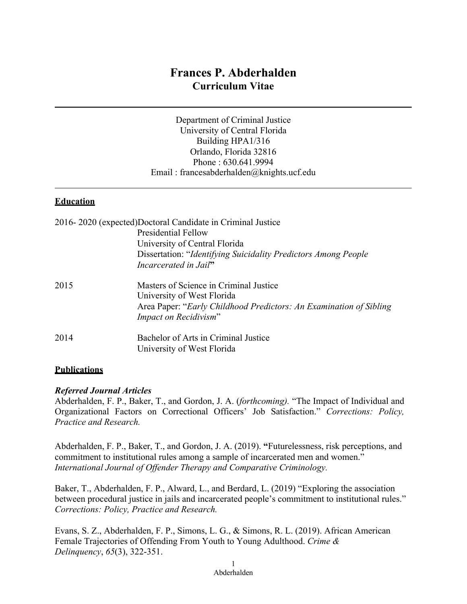# **Frances P. Abderhalden Curriculum Vitae**

Department of Criminal Justice University of Central Florida Building HPA1/316 Orlando, Florida 32816 Phone : 630.641.9994 Email : francesabderhalden@knights.ucf.edu

#### **Education**

|      | 2016-2020 (expected)Doctoral Candidate in Criminal Justice         |
|------|--------------------------------------------------------------------|
|      | <b>Presidential Fellow</b>                                         |
|      | University of Central Florida                                      |
|      | Dissertation: "Identifying Suicidality Predictors Among People     |
|      | Incarcerated in Jail"                                              |
| 2015 | Masters of Science in Criminal Justice                             |
|      | University of West Florida                                         |
|      | Area Paper: "Early Childhood Predictors: An Examination of Sibling |
|      | Impact on Recidivism"                                              |
| 2014 | Bachelor of Arts in Criminal Justice                               |
|      | University of West Florida                                         |

#### **Publications**

#### *Referred Journal Articles*

Abderhalden, F. P., Baker, T., and Gordon, J. A. (*forthcoming).* "The Impact of Individual and Organizational Factors on Correctional Officers' Job Satisfaction." *Corrections: Policy, Practice and Research.*

Abderhalden, F. P., Baker, T., and Gordon, J. A. (2019). **"**Futurelessness, risk perceptions, and commitment to institutional rules among a sample of incarcerated men and women." *International Journal of Offender Therapy and Comparative Criminology.*

Baker, T., Abderhalden, F. P., Alward, L., and Berdard, L. (2019) "Exploring the association between procedural justice in jails and incarcerated people's commitment to institutional rules." *Corrections: Policy, Practice and Research.*

Evans, S. Z., Abderhalden, F. P., Simons, L. G., & Simons, R. L. (2019). African American Female Trajectories of Offending From Youth to Young Adulthood. *Crime & Delinquency*, *65*(3), 322-351.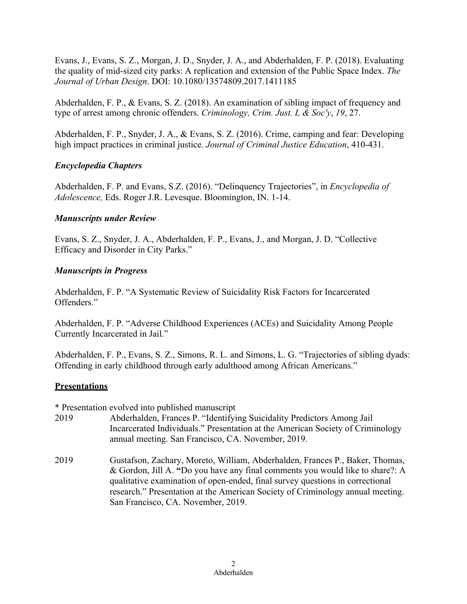Evans, J., Evans, S. Z., Morgan, J. D., Snyder, J. A., and Abderhalden, F. P. (2018). Evaluating the quality of mid-sized city parks: A replication and extension of the Public Space Index. *The Journal of Urban Design*. DOI: 10.1080/13574809.2017.1411185

Abderhalden, F. P., & Evans, S. Z. (2018). An examination of sibling impact of frequency and type of arrest among chronic offenders. *Criminology, Crim. Just. L & Soc'y*, *19*, 27.

Abderhalden, F. P., Snyder, J. A., & Evans, S. Z. (2016). Crime, camping and fear: Developing high impact practices in criminal justice. *Journal of Criminal Justice Education*, 410-431.

### *Encyclopedia Chapters*

Abderhalden, F. P. and Evans, S.Z. (2016). "Delinquency Trajectories", in *Encyclopedia of Adolescence,* Eds. Roger J.R. Levesque. Bloomington, IN. 1-14.

### *Manuscripts under Review*

Evans, S. Z., Snyder, J. A., Abderhalden, F. P., Evans, J., and Morgan, J. D. "Collective Efficacy and Disorder in City Parks."

### *Manuscripts in Progress*

Abderhalden, F. P. "A Systematic Review of Suicidality Risk Factors for Incarcerated Offenders."

Abderhalden, F. P. "Adverse Childhood Experiences (ACEs) and Suicidality Among People Currently Incarcerated in Jail."

Abderhalden, F. P., Evans, S. Z., Simons, R. L. and Simons, L. G. "Trajectories of sibling dyads: Offending in early childhood through early adulthood among African Americans."

### **Presentations**

\* Presentation evolved into published manuscript

- 2019 Abderhalden, Frances P. "Identifying Suicidality Predictors Among Jail Incarcerated Individuals." Presentation at the American Society of Criminology annual meeting. San Francisco, CA. November, 2019.
- 2019 Gustafson, Zachary, Moreto, William, Abderhalden, Frances P., Baker, Thomas, & Gordon, Jill A. **"**Do you have any final comments you would like to share?: A qualitative examination of open-ended, final survey questions in correctional research." Presentation at the American Society of Criminology annual meeting. San Francisco, CA. November, 2019.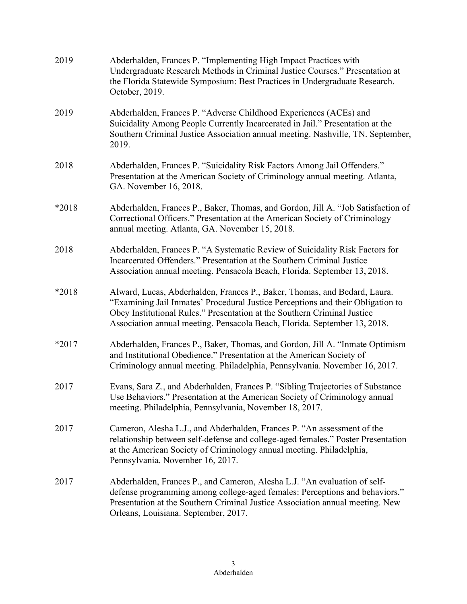| 2019    | Abderhalden, Frances P. "Implementing High Impact Practices with<br>Undergraduate Research Methods in Criminal Justice Courses." Presentation at<br>the Florida Statewide Symposium: Best Practices in Undergraduate Research.<br>October, 2019.                                                                      |
|---------|-----------------------------------------------------------------------------------------------------------------------------------------------------------------------------------------------------------------------------------------------------------------------------------------------------------------------|
| 2019    | Abderhalden, Frances P. "Adverse Childhood Experiences (ACEs) and<br>Suicidality Among People Currently Incarcerated in Jail." Presentation at the<br>Southern Criminal Justice Association annual meeting. Nashville, TN. September,<br>2019.                                                                        |
| 2018    | Abderhalden, Frances P. "Suicidality Risk Factors Among Jail Offenders."<br>Presentation at the American Society of Criminology annual meeting. Atlanta,<br>GA. November 16, 2018.                                                                                                                                    |
| *2018   | Abderhalden, Frances P., Baker, Thomas, and Gordon, Jill A. "Job Satisfaction of<br>Correctional Officers." Presentation at the American Society of Criminology<br>annual meeting. Atlanta, GA. November 15, 2018.                                                                                                    |
| 2018    | Abderhalden, Frances P. "A Systematic Review of Suicidality Risk Factors for<br>Incarcerated Offenders." Presentation at the Southern Criminal Justice<br>Association annual meeting. Pensacola Beach, Florida. September 13, 2018.                                                                                   |
| *2018   | Alward, Lucas, Abderhalden, Frances P., Baker, Thomas, and Bedard, Laura.<br>"Examining Jail Inmates' Procedural Justice Perceptions and their Obligation to<br>Obey Institutional Rules." Presentation at the Southern Criminal Justice<br>Association annual meeting. Pensacola Beach, Florida. September 13, 2018. |
| $*2017$ | Abderhalden, Frances P., Baker, Thomas, and Gordon, Jill A. "Inmate Optimism<br>and Institutional Obedience." Presentation at the American Society of<br>Criminology annual meeting. Philadelphia, Pennsylvania. November 16, 2017.                                                                                   |
| 2017    | Evans, Sara Z., and Abderhalden, Frances P. "Sibling Trajectories of Substance<br>Use Behaviors." Presentation at the American Society of Criminology annual<br>meeting. Philadelphia, Pennsylvania, November 18, 2017.                                                                                               |
| 2017    | Cameron, Alesha L.J., and Abderhalden, Frances P. "An assessment of the<br>relationship between self-defense and college-aged females." Poster Presentation<br>at the American Society of Criminology annual meeting. Philadelphia,<br>Pennsylvania. November 16, 2017.                                               |
| 2017    | Abderhalden, Frances P., and Cameron, Alesha L.J. "An evaluation of self-<br>defense programming among college-aged females: Perceptions and behaviors."<br>Presentation at the Southern Criminal Justice Association annual meeting. New<br>Orleans, Louisiana. September, 2017.                                     |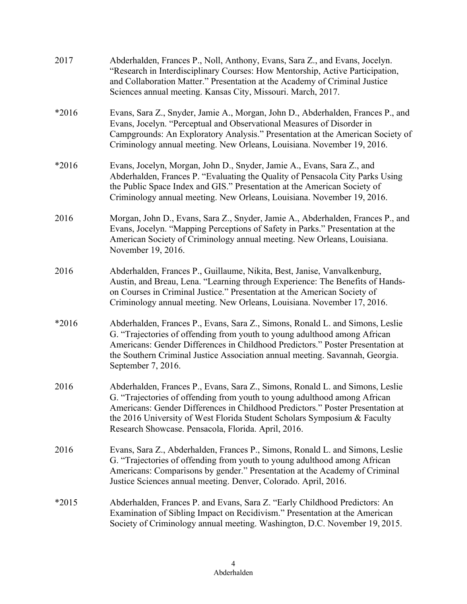| 2017    | Abderhalden, Frances P., Noll, Anthony, Evans, Sara Z., and Evans, Jocelyn.<br>"Research in Interdisciplinary Courses: How Mentorship, Active Participation,<br>and Collaboration Matter." Presentation at the Academy of Criminal Justice<br>Sciences annual meeting. Kansas City, Missouri. March, 2017.                                                                      |
|---------|---------------------------------------------------------------------------------------------------------------------------------------------------------------------------------------------------------------------------------------------------------------------------------------------------------------------------------------------------------------------------------|
| *2016   | Evans, Sara Z., Snyder, Jamie A., Morgan, John D., Abderhalden, Frances P., and<br>Evans, Jocelyn. "Perceptual and Observational Measures of Disorder in<br>Campgrounds: An Exploratory Analysis." Presentation at the American Society of<br>Criminology annual meeting. New Orleans, Louisiana. November 19, 2016.                                                            |
| *2016   | Evans, Jocelyn, Morgan, John D., Snyder, Jamie A., Evans, Sara Z., and<br>Abderhalden, Frances P. "Evaluating the Quality of Pensacola City Parks Using<br>the Public Space Index and GIS." Presentation at the American Society of<br>Criminology annual meeting. New Orleans, Louisiana. November 19, 2016.                                                                   |
| 2016    | Morgan, John D., Evans, Sara Z., Snyder, Jamie A., Abderhalden, Frances P., and<br>Evans, Jocelyn. "Mapping Perceptions of Safety in Parks." Presentation at the<br>American Society of Criminology annual meeting. New Orleans, Louisiana.<br>November 19, 2016.                                                                                                               |
| 2016    | Abderhalden, Frances P., Guillaume, Nikita, Best, Janise, Vanvalkenburg,<br>Austin, and Breau, Lena. "Learning through Experience: The Benefits of Hands-<br>on Courses in Criminal Justice." Presentation at the American Society of<br>Criminology annual meeting. New Orleans, Louisiana. November 17, 2016.                                                                 |
| *2016   | Abderhalden, Frances P., Evans, Sara Z., Simons, Ronald L. and Simons, Leslie<br>G. "Trajectories of offending from youth to young adulthood among African<br>Americans: Gender Differences in Childhood Predictors." Poster Presentation at<br>the Southern Criminal Justice Association annual meeting. Savannah, Georgia.<br>September 7, 2016.                              |
| 2016    | Abderhalden, Frances P., Evans, Sara Z., Simons, Ronald L. and Simons, Leslie<br>G. "Trajectories of offending from youth to young adulthood among African<br>Americans: Gender Differences in Childhood Predictors." Poster Presentation at<br>the 2016 University of West Florida Student Scholars Symposium & Faculty<br>Research Showcase. Pensacola, Florida. April, 2016. |
| 2016    | Evans, Sara Z., Abderhalden, Frances P., Simons, Ronald L. and Simons, Leslie<br>G. "Trajectories of offending from youth to young adulthood among African<br>Americans: Comparisons by gender." Presentation at the Academy of Criminal<br>Justice Sciences annual meeting. Denver, Colorado. April, 2016.                                                                     |
| $*2015$ | Abderhalden, Frances P. and Evans, Sara Z. "Early Childhood Predictors: An<br>Examination of Sibling Impact on Recidivism." Presentation at the American<br>Society of Criminology annual meeting. Washington, D.C. November 19, 2015.                                                                                                                                          |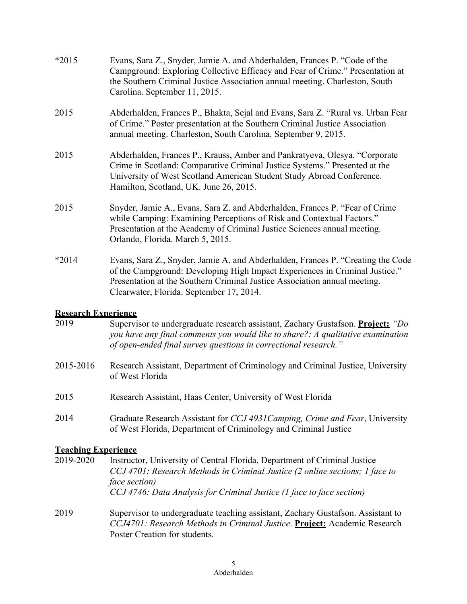| *2015   | Evans, Sara Z., Snyder, Jamie A. and Abderhalden, Frances P. "Code of the<br>Campground: Exploring Collective Efficacy and Fear of Crime." Presentation at<br>the Southern Criminal Justice Association annual meeting. Charleston, South<br>Carolina. September 11, 2015.              |
|---------|-----------------------------------------------------------------------------------------------------------------------------------------------------------------------------------------------------------------------------------------------------------------------------------------|
| 2015    | Abderhalden, Frances P., Bhakta, Sejal and Evans, Sara Z. "Rural vs. Urban Fear<br>of Crime." Poster presentation at the Southern Criminal Justice Association<br>annual meeting. Charleston, South Carolina. September 9, 2015.                                                        |
| 2015    | Abderhalden, Frances P., Krauss, Amber and Pankratyeva, Olesya. "Corporate<br>Crime in Scotland: Comparative Criminal Justice Systems." Presented at the<br>University of West Scotland American Student Study Abroad Conference.<br>Hamilton, Scotland, UK. June 26, 2015.             |
| 2015    | Snyder, Jamie A., Evans, Sara Z. and Abderhalden, Frances P. "Fear of Crime<br>while Camping: Examining Perceptions of Risk and Contextual Factors."<br>Presentation at the Academy of Criminal Justice Sciences annual meeting.<br>Orlando, Florida. March 5, 2015.                    |
| $*2014$ | Evans, Sara Z., Snyder, Jamie A. and Abderhalden, Frances P. "Creating the Code<br>of the Campground: Developing High Impact Experiences in Criminal Justice."<br>Presentation at the Southern Criminal Justice Association annual meeting.<br>Clearwater, Florida. September 17, 2014. |

## **Research Experience**

| 2019      | Supervisor to undergraduate research assistant, Zachary Gustafson. <b>Project:</b> "Do<br>you have any final comments you would like to share?: A qualitative examination<br>of open-ended final survey questions in correctional research." |
|-----------|----------------------------------------------------------------------------------------------------------------------------------------------------------------------------------------------------------------------------------------------|
| 2015-2016 | Research Assistant, Department of Criminology and Criminal Justice, University<br>of West Florida                                                                                                                                            |
| 2015      | Research Assistant, Haas Center, University of West Florida                                                                                                                                                                                  |
| 2014      | Graduate Research Assistant for <i>CCJ 4931 Camping, Crime and Fear</i> , University<br>of West Florida, Department of Criminology and Criminal Justice                                                                                      |

## **Teaching Experience**

| 2019-2020 | Instructor, University of Central Florida, Department of Criminal Justice<br>CCJ 4701: Research Methods in Criminal Justice (2 online sections; 1 face to<br><i>face section</i> )<br>CCJ 4746: Data Analysis for Criminal Justice (1 face to face section) |
|-----------|-------------------------------------------------------------------------------------------------------------------------------------------------------------------------------------------------------------------------------------------------------------|
| 2019      | Supervisor to undergraduate teaching assistant, Zachary Gustafson. Assistant to<br>CCJ4701: Research Methods in Criminal Justice. Project: Academic Research<br>Poster Creation for students.                                                               |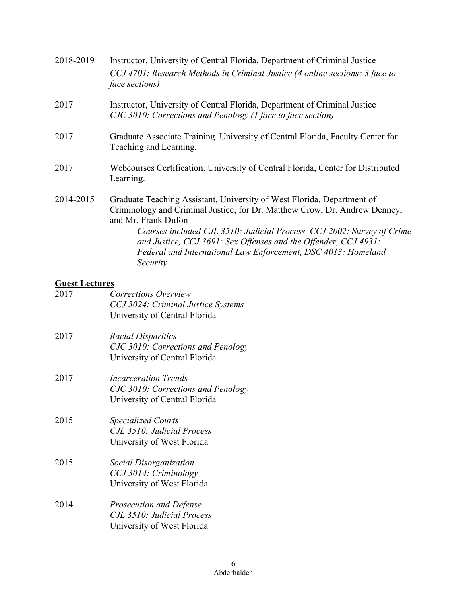| 2018-2019 | Instructor, University of Central Florida, Department of Criminal Justice<br>CCJ 4701: Research Methods in Criminal Justice (4 online sections; 3 face to<br><i>face sections</i> )                                                                                                                                                                                                                   |
|-----------|-------------------------------------------------------------------------------------------------------------------------------------------------------------------------------------------------------------------------------------------------------------------------------------------------------------------------------------------------------------------------------------------------------|
| 2017      | Instructor, University of Central Florida, Department of Criminal Justice<br>CJC 3010: Corrections and Penology (1 face to face section)                                                                                                                                                                                                                                                              |
| 2017      | Graduate Associate Training. University of Central Florida, Faculty Center for<br>Teaching and Learning.                                                                                                                                                                                                                                                                                              |
| 2017      | Webcourses Certification. University of Central Florida, Center for Distributed<br>Learning.                                                                                                                                                                                                                                                                                                          |
| 2014-2015 | Graduate Teaching Assistant, University of West Florida, Department of<br>Criminology and Criminal Justice, for Dr. Matthew Crow, Dr. Andrew Denney,<br>and Mr. Frank Dufon<br>Courses included CJL 3510: Judicial Process, CCJ 2002: Survey of Crime<br>and Justice, CCJ 3691: Sex Offenses and the Offender, CCJ 4931:<br>Federal and International Law Enforcement, DSC 4013: Homeland<br>Security |

## **Guest Lectures**

| 2017 | Corrections Overview<br>CCJ 3024: Criminal Justice Systems<br>University of Central Florida        |
|------|----------------------------------------------------------------------------------------------------|
| 2017 | <b>Racial Disparities</b><br>CJC 3010: Corrections and Penology<br>University of Central Florida   |
| 2017 | <b>Incarceration Trends</b><br>CJC 3010: Corrections and Penology<br>University of Central Florida |
| 2015 | <b>Specialized Courts</b><br>CJL 3510: Judicial Process<br>University of West Florida              |
| 2015 | Social Disorganization<br>CCJ 3014: Criminology<br>University of West Florida                      |
| 2014 | Prosecution and Defense<br>CJL 3510: Judicial Process<br>University of West Florida                |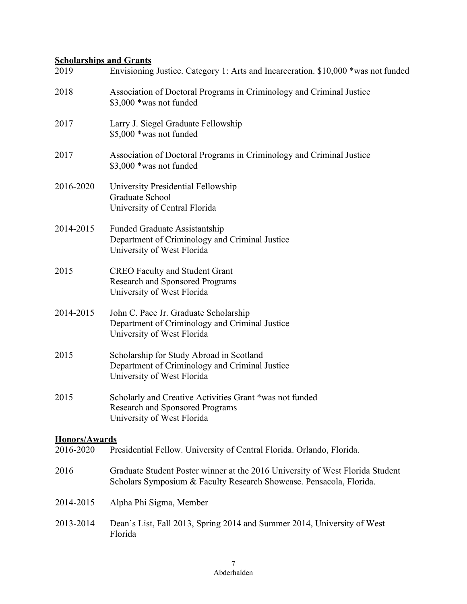### **Scholarships and Grants**

| 2019                              | Envisioning Justice. Category 1: Arts and Incarceration. \$10,000 *was not funded                                                                    |
|-----------------------------------|------------------------------------------------------------------------------------------------------------------------------------------------------|
| 2018                              | Association of Doctoral Programs in Criminology and Criminal Justice<br>\$3,000 *was not funded                                                      |
| 2017                              | Larry J. Siegel Graduate Fellowship<br>\$5,000 *was not funded                                                                                       |
| 2017                              | Association of Doctoral Programs in Criminology and Criminal Justice<br>\$3,000 *was not funded                                                      |
| 2016-2020                         | University Presidential Fellowship<br>Graduate School<br>University of Central Florida                                                               |
| 2014-2015                         | <b>Funded Graduate Assistantship</b><br>Department of Criminology and Criminal Justice<br>University of West Florida                                 |
| 2015                              | <b>CREO Faculty and Student Grant</b><br><b>Research and Sponsored Programs</b><br>University of West Florida                                        |
| 2014-2015                         | John C. Pace Jr. Graduate Scholarship<br>Department of Criminology and Criminal Justice<br>University of West Florida                                |
| 2015                              | Scholarship for Study Abroad in Scotland<br>Department of Criminology and Criminal Justice<br>University of West Florida                             |
| 2015                              | Scholarly and Creative Activities Grant *was not funded<br><b>Research and Sponsored Programs</b><br>University of West Florida                      |
| <b>Honors/Awards</b><br>2016-2020 | Presidential Fellow. University of Central Florida. Orlando, Florida.                                                                                |
| 2016                              | Graduate Student Poster winner at the 2016 University of West Florida Student<br>Scholars Symposium & Faculty Research Showcase. Pensacola, Florida. |
| 2014-2015                         | Alpha Phi Sigma, Member                                                                                                                              |
| 2013-2014                         | Dean's List, Fall 2013, Spring 2014 and Summer 2014, University of West<br>Florida                                                                   |
|                                   |                                                                                                                                                      |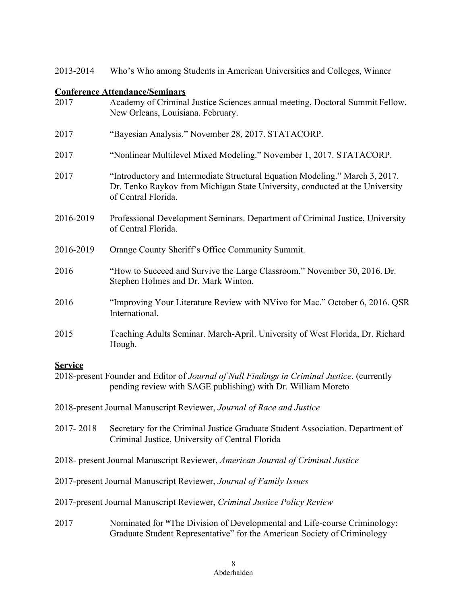2013-2014 Who's Who among Students in American Universities and Colleges, Winner

### **Conference Attendance/Seminars**

| 2017                                                                     | Academy of Criminal Justice Sciences annual meeting, Doctoral Summit Fellow.<br>New Orleans, Louisiana. February.                                                                   |
|--------------------------------------------------------------------------|-------------------------------------------------------------------------------------------------------------------------------------------------------------------------------------|
| 2017                                                                     | "Bayesian Analysis." November 28, 2017. STATACORP.                                                                                                                                  |
| 2017                                                                     | "Nonlinear Multilevel Mixed Modeling." November 1, 2017. STATACORP.                                                                                                                 |
| 2017                                                                     | "Introductory and Intermediate Structural Equation Modeling." March 3, 2017.<br>Dr. Tenko Raykov from Michigan State University, conducted at the University<br>of Central Florida. |
| 2016-2019                                                                | Professional Development Seminars. Department of Criminal Justice, University<br>of Central Florida.                                                                                |
| 2016-2019                                                                | Orange County Sheriff's Office Community Summit.                                                                                                                                    |
| 2016                                                                     | "How to Succeed and Survive the Large Classroom." November 30, 2016. Dr.<br>Stephen Holmes and Dr. Mark Winton.                                                                     |
| 2016                                                                     | "Improving Your Literature Review with NVivo for Mac." October 6, 2016. QSR<br>International.                                                                                       |
| 2015                                                                     | Teaching Adults Seminar. March-April. University of West Florida, Dr. Richard<br>Hough.                                                                                             |
| <b>Service</b>                                                           | 2018-present Founder and Editor of Journal of Null Findings in Criminal Justice. (currently<br>pending review with SAGE publishing) with Dr. William Moreto                         |
|                                                                          | 2018-present Journal Manuscript Reviewer, Journal of Race and Justice                                                                                                               |
| 2017-2018                                                                | Secretary for the Criminal Justice Graduate Student Association. Department of<br>Criminal Justice, University of Central Florida                                                   |
|                                                                          | 2018- present Journal Manuscript Reviewer, American Journal of Criminal Justice                                                                                                     |
|                                                                          | 2017-present Journal Manuscript Reviewer, Journal of Family Issues                                                                                                                  |
| 2017-present Journal Manuscript Reviewer, Criminal Justice Policy Review |                                                                                                                                                                                     |
|                                                                          |                                                                                                                                                                                     |

2017 Nominated for **"**The Division of Developmental and Life-course Criminology: Graduate Student Representative" for the American Society of Criminology